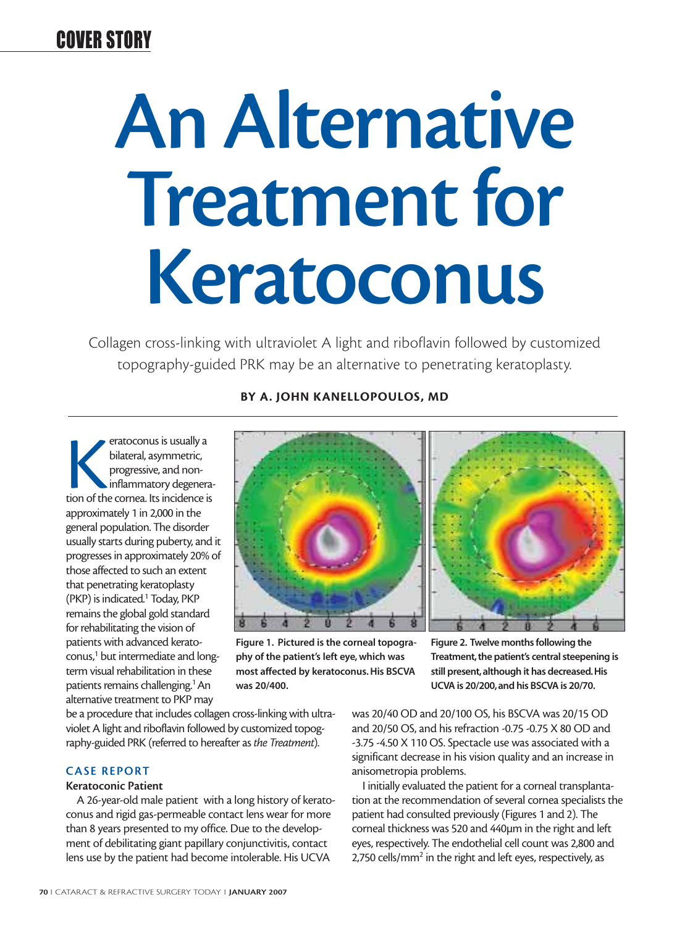# COVER STORY

# **An Alternative Treatment for Keratoconus**

Collagen cross-linking with ultraviolet A light and riboflavin followed by customized topography-guided PRK may be an alternative to penetrating keratoplasty.

eratoconus is usually a<br>bilateral, asymmetric,<br>progressive, and non-<br>inflammatory degenera<br>tion of the cornea. Its incidence is bilateral, asymmetric, progressive, and noninflammatory degeneraapproximately 1 in 2,000 in the general population. The disorder usually starts during puberty, and it progresses in approximately 20% of those affected to such an extent that penetrating keratoplasty (PKP) is indicated.1 Today, PKP remains the global gold standard for rehabilitating the vision of patients with advanced keratoconus,<sup>1</sup> but intermediate and longterm visual rehabilitation in these patients remains challenging.<sup>1</sup> An alternative treatment to PKP may

## **BY A. JOHN KANELLOPOULOS, MD**



**Figure 1. Pictured is the corneal topography of the patient's left eye, which was most affected by keratoconus. His BSCVA was 20/400.**



**Figure 2. Twelve months following the Treatment, the patient's central steepening is still present,although it has decreased.His UCVA is 20/200,and his BSCVA is 20/70.**

be a procedure that includes collagen cross-linking with ultraviolet A light and riboflavin followed by customized topography-guided PRK (referred to hereafter as *the Treatment*).

## **CASE REPORT**

#### **Keratoconic Patient**

A 26-year-old male patient with a long history of keratoconus and rigid gas-permeable contact lens wear for more than 8 years presented to my office. Due to the development of debilitating giant papillary conjunctivitis, contact lens use by the patient had become intolerable. His UCVA

was 20/40 OD and 20/100 OS, his BSCVA was 20/15 OD and 20/50 OS, and his refraction -0.75 -0.75 X 80 OD and -3.75 -4.50 X 110 OS. Spectacle use was associated with a significant decrease in his vision quality and an increase in anisometropia problems.

I initially evaluated the patient for a corneal transplantation at the recommendation of several cornea specialists the patient had consulted previously (Figures 1 and 2). The corneal thickness was 520 and 440µm in the right and left eyes, respectively. The endothelial cell count was 2,800 and 2,750 cells/mm<sup>2</sup> in the right and left eyes, respectively, as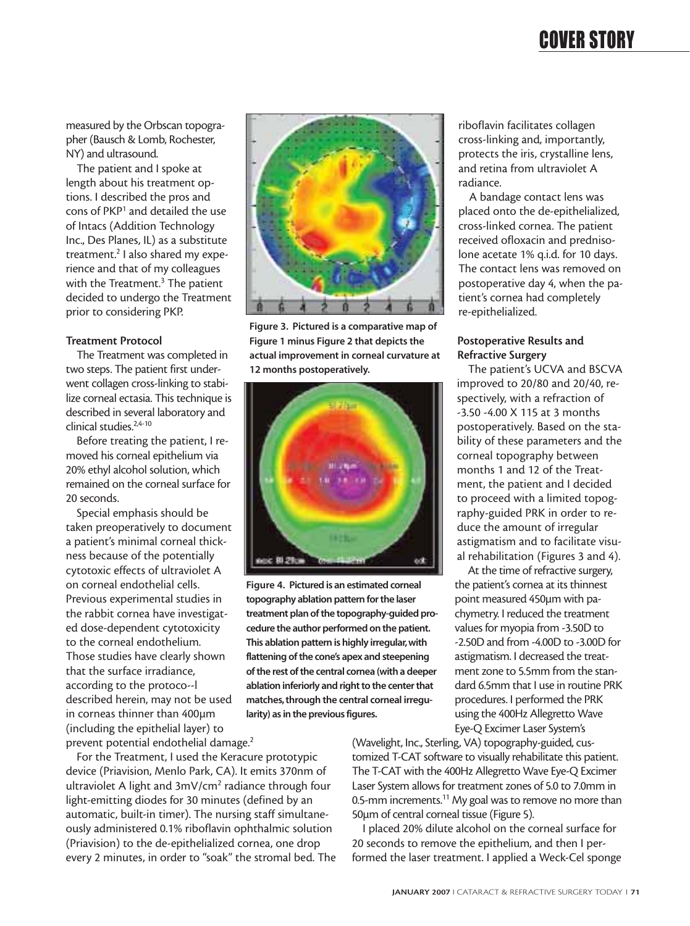## COVER STORY

measured by the Orbscan topographer (Bausch & Lomb, Rochester, NY) and ultrasound.

The patient and I spoke at length about his treatment options. I described the pros and cons of PKP1 and detailed the use of Intacs (Addition Technology Inc., Des Planes, IL) as a substitute treatment.2 I also shared my experience and that of my colleagues with the Treatment.<sup>3</sup> The patient decided to undergo the Treatment prior to considering PKP.

#### **Treatment Protocol**

The Treatment was completed in two steps. The patient first underwent collagen cross-linking to stabilize corneal ectasia. This technique is described in several laboratory and clinical studies.2,4-10

Before treating the patient, I removed his corneal epithelium via 20% ethyl alcohol solution, which remained on the corneal surface for 20 seconds.

Special emphasis should be taken preoperatively to document a patient's minimal corneal thickness because of the potentially cytotoxic effects of ultraviolet A on corneal endothelial cells. Previous experimental studies in the rabbit cornea have investigated dose-dependent cytotoxicity to the corneal endothelium. Those studies have clearly shown that the surface irradiance, according to the protoco--l described herein, may not be used in corneas thinner than 400µm (including the epithelial layer) to prevent potential endothelial damage.<sup>2</sup>

For the Treatment, I used the Keracure prototypic device (Priavision, Menlo Park, CA). It emits 370nm of ultraviolet A light and 3mV/cm<sup>2</sup> radiance through four light-emitting diodes for 30 minutes (defined by an automatic, built-in timer). The nursing staff simultaneously administered 0.1% riboflavin ophthalmic solution (Priavision) to the de-epithelialized cornea, one drop every 2 minutes, in order to "soak" the stromal bed. The



**Figure 3. Pictured is a comparative map of Figure 1 minus Figure 2 that depicts the actual improvement in corneal curvature at 12 months postoperatively.**



**Figure 4. Pictured is an estimated corneal topography ablation pattern for the laser treatment plan of the topography-guided procedure the author performed on the patient. This ablation pattern is highly irregular,with flattening of the cone's apex and steepening of the rest of the central cornea (with a deeper ablation inferiorly and right to the center that matches, through the central corneal irregularity) as in the previous figures.**

riboflavin facilitates collagen cross-linking and, importantly, protects the iris, crystalline lens, and retina from ultraviolet A radiance.

A bandage contact lens was placed onto the de-epithelialized, cross-linked cornea. The patient received ofloxacin and prednisolone acetate 1% q.i.d. for 10 days. The contact lens was removed on postoperative day 4, when the patient's cornea had completely re-epithelialized.

#### **Postoperative Results and Refractive Surgery**

The patient's UCVA and BSCVA improved to 20/80 and 20/40, respectively, with a refraction of -3.50 -4.00 X 115 at 3 months postoperatively. Based on the stability of these parameters and the corneal topography between months 1 and 12 of the Treatment, the patient and I decided to proceed with a limited topography-guided PRK in order to reduce the amount of irregular astigmatism and to facilitate visual rehabilitation (Figures 3 and 4).

At the time of refractive surgery, the patient's cornea at its thinnest point measured 450µm with pachymetry. I reduced the treatment values for myopia from -3.50D to -2.50D and from -4.00D to -3.00D for astigmatism. I decreased the treatment zone to 5.5mm from the standard 6.5mm that I use in routine PRK procedures. I performed the PRK using the 400Hz Allegretto Wave Eye-Q Excimer Laser System's

(Wavelight, Inc., Sterling, VA) topography-guided, customized T-CAT software to visually rehabilitate this patient. The T-CAT with the 400Hz Allegretto Wave Eye-Q Excimer Laser System allows for treatment zones of 5.0 to 7.0mm in 0.5-mm increments.<sup>11</sup> My goal was to remove no more than 50µm of central corneal tissue (Figure 5).

I placed 20% dilute alcohol on the corneal surface for 20 seconds to remove the epithelium, and then I performed the laser treatment. I applied a Weck-Cel sponge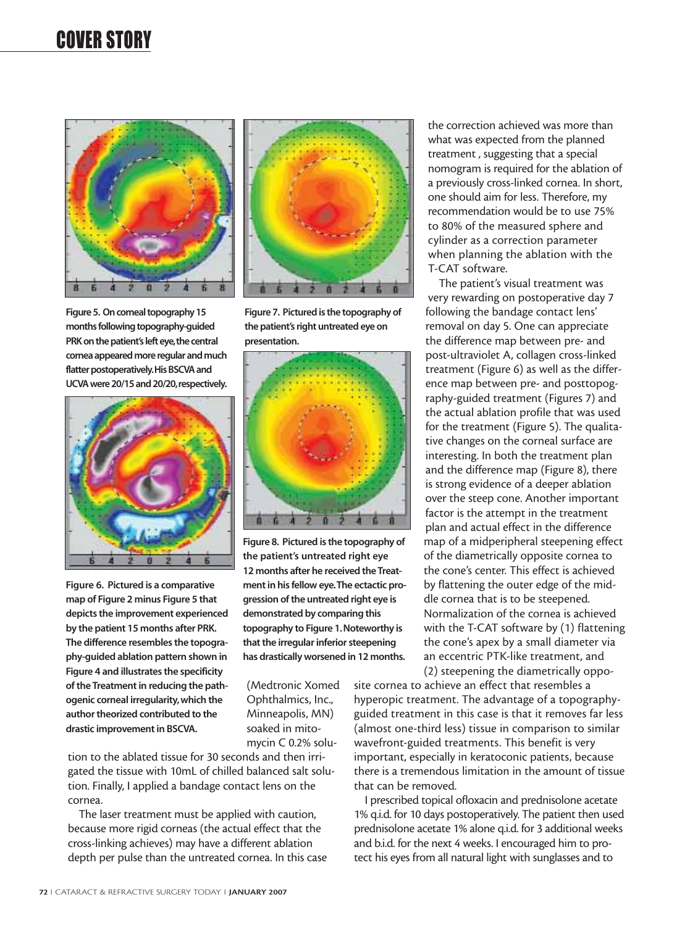# COVER STORY



**Figure 5. On corneal topography 15 months following topography-guided** PRK on the patient's left eye, the central **cornea appeared more regular and much flatter postoperatively.His BSCVA and UCVA were 20/15 and 20/20,respectively.**





tion to the ablated tissue for 30 seconds and then irrigated the tissue with 10mL of chilled balanced salt solution. Finally, I applied a bandage contact lens on the cornea.

The laser treatment must be applied with caution, because more rigid corneas (the actual effect that the cross-linking achieves) may have a different ablation depth per pulse than the untreated cornea. In this case



**Figure 7. Pictured is the topography of the patient's right untreated eye on presentation.**



**Figure 8. Pictured is the topography of the patient's untreated right eye 12 months after he received the Treatment in his fellow eye.The ectactic progression of the untreated right eye is demonstrated by comparing this topography to Figure 1.Noteworthy is that the irregular inferior steepening has drastically worsened in 12 months.**

(Medtronic Xomed Ophthalmics, Inc., Minneapolis, MN) soaked in mitomycin C 0.2% soluthe correction achieved was more than what was expected from the planned treatment , suggesting that a special nomogram is required for the ablation of a previously cross-linked cornea. In short, one should aim for less. Therefore, my recommendation would be to use 75% to 80% of the measured sphere and cylinder as a correction parameter when planning the ablation with the T-CAT software.

The patient's visual treatment was very rewarding on postoperative day 7 following the bandage contact lens' removal on day 5. One can appreciate the difference map between pre- and post-ultraviolet A, collagen cross-linked treatment (Figure 6) as well as the difference map between pre- and posttopography-guided treatment (Figures 7) and the actual ablation profile that was used for the treatment (Figure 5). The qualitative changes on the corneal surface are interesting. In both the treatment plan and the difference map (Figure 8), there is strong evidence of a deeper ablation over the steep cone. Another important factor is the attempt in the treatment plan and actual effect in the difference map of a midperipheral steepening effect of the diametrically opposite cornea to the cone's center. This effect is achieved by flattening the outer edge of the middle cornea that is to be steepened. Normalization of the cornea is achieved with the T-CAT software by (1) flattening the cone's apex by a small diameter via an eccentric PTK-like treatment, and (2) steepening the diametrically oppo-

site cornea to achieve an effect that resembles a hyperopic treatment. The advantage of a topographyguided treatment in this case is that it removes far less (almost one-third less) tissue in comparison to similar wavefront-guided treatments. This benefit is very important, especially in keratoconic patients, because there is a tremendous limitation in the amount of tissue that can be removed.

I prescribed topical ofloxacin and prednisolone acetate 1% q.i.d. for 10 days postoperatively. The patient then used prednisolone acetate 1% alone q.i.d. for 3 additional weeks and b.i.d. for the next 4 weeks. I encouraged him to protect his eyes from all natural light with sunglasses and to